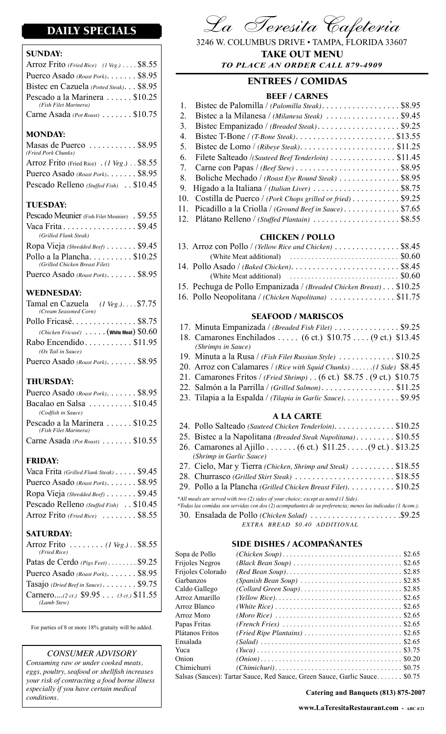# DAILY SPECIALS

### SUNDAY:

| Arroz Frito (Fried Rice) (1 Veg.) $\ldots$ \$8.55       |  |
|---------------------------------------------------------|--|
| Puerco Asado (Roast Pork). \$8.95                       |  |
| Bistec en Cazuela (Potted Steak). \$8.95                |  |
| Pescado a la Marinera  \$10.25<br>(Fish Filet Marinera) |  |
| Carne Asada (Pot Roast)  \$10.75                        |  |

#### MONDAY:

| Masas de Puerco \$8.95<br>(Fried Pork Chunks) |  |
|-----------------------------------------------|--|
| Arroz Frito (Fried Rice) . (1 Veg.) . \$8.55  |  |
| Puerco Asado (Roast Pork). \$8.95             |  |
| Pescado Relleno (Stuffed Fish) . \$10.45      |  |

#### TUESDAY:

| Pescado Meunier (Fish Filet Meunier) . \$9.55               |  |
|-------------------------------------------------------------|--|
| Vaca Frita $\ldots \ldots \ldots \ldots \ldots$ \$9.45      |  |
| (Grilled Flank Steak)                                       |  |
| Ropa Vieja (Shredded Beef) \$9.45                           |  |
| Pollo a la Plancha\$10.25<br>(Grilled Chicken Breast Filet) |  |
| Puerco Asado (Roast Pork). \$8.95                           |  |

### WEDNESDAY:

| Tamal en Cazuela $(1 \text{ Veg.}) \dots $7.75$<br>(Cream Seasoned Corn) |                                                  |
|--------------------------------------------------------------------------|--------------------------------------------------|
| Pollo Fricasé\$8.75                                                      |                                                  |
|                                                                          | (Chicken Fricasé) $\dots$ . (White Meat) $$0.60$ |
| Rabo Encendido \$11.95                                                   |                                                  |
| $(Ox$ Tail in Sauce)                                                     |                                                  |
| Puerco Asado (Roast Pork). \$8.95                                        |                                                  |
|                                                                          |                                                  |

#### THURSDAY:

| Puerco Asado (Roast Pork) \$8.95                        |  |
|---------------------------------------------------------|--|
| Bacalao en Salsa \$10.45                                |  |
| (Codfish in Sauce)                                      |  |
| Pescado a la Marinera  \$10.25<br>(Fish Filet Marinera) |  |
| Carne Asada (Pot Roast) \$10.55                         |  |

## FRIDAY:

| Vaca Frita (Grilled Flank Steak) \$9.45  |  |
|------------------------------------------|--|
| Puerco Asado (Roast Pork). \$8.95        |  |
| Ropa Vieja (Shredded Beef) \$9.45        |  |
| Pescado Relleno (Stuffed Fish) . \$10.45 |  |
| Arroz Frito (Fried Rice)  \$8.55         |  |

#### SATURDAY:

| Arroz Frito (1 Veg.). $$8.55$<br>(Fried Rice)          |  |
|--------------------------------------------------------|--|
| Patas de Cerdo $(Pigs Feet)$ \$9.25                    |  |
| Puerco Asado (Roast Pork). \$8.95                      |  |
| Tasajo (Dried Beef in Sauce). \$9.75                   |  |
| Carnero(2 ct.) $$9.95$ (3 ct.) $$11.55$<br>(Lamb Stew) |  |
|                                                        |  |

For parties of 8 or more 18% gratuity will be added.

#### *CONSUMER ADVISORY*

*Consuming raw or under cooked meats, eggs, poultry, seafood or shellfish increases your risk of contracting a food borne illness especially if you have certain medical conditions.*



3246 W. COLUMBUS DRIVE • TAMPA, FLORIDA 33607 *TO PLACE AN ORDER CALL 879-4909* TAKE OUT MENU

## ENTREES / COMIDAS

#### BEEF / CARNES

|   | 1. Bistec de Palomilla / (Palomilla Steak). \$8.95            |  |
|---|---------------------------------------------------------------|--|
| 2 |                                                               |  |
|   | 3. Bistec Empanizado / (Breaded Steak). \$9.25                |  |
|   | 4. Bistec T-Bone / $(T-Bone Steak)$ \$13.55                   |  |
|   |                                                               |  |
|   | 6. Filete Salteado /(Sauteed Beef Tenderloin)  \$11.45        |  |
|   |                                                               |  |
|   | 8. Boliche Mechado / (Roast Eye Round Steak) \$8.95           |  |
|   | 9. Hígado a la Italiana / (Italian Liver) \$8.75              |  |
|   | 10. Costilla de Puerco / (Pork Chops grilled or fried) \$9.25 |  |
|   | 11. Picadillo a la Criolla / (Ground Beef in Sauce) \$7.65    |  |
|   | 12. Plátano Relleno / (Stuffed Plantain)  \$8.55              |  |

#### CHICKEN / POLLO

| 13. Arroz con Pollo / (Yellow Rice and Chicken) $\ldots \ldots \ldots \ldots$ \$8.45         |
|----------------------------------------------------------------------------------------------|
| (White Meat additional) $\ldots \ldots \ldots \ldots \ldots \ldots \ldots \ldots$ \$0.60     |
| 14. Pollo Asado / (Baked Chicken). $\ldots \ldots \ldots \ldots \ldots \ldots \ldots$ \$8.45 |
| (White Meat additional) $\ldots \ldots \ldots \ldots \ldots \ldots \ldots \ldots$ \$0.60     |
| 15. Pechuga de Pollo Empanizada / (Breaded Chicken Breast) \$10.25                           |
| 16. Pollo Neopolitana / (Chicken Napolitana) \$11.75                                         |

#### SEAFOOD / MARISCOS

| 17. Minuta Empanizada / (Breaded Fish Filet)  \$9.25                             |
|----------------------------------------------------------------------------------|
| 18. Camarones Enchilados (6 ct.) \$10.75 (9 ct.) \$13.45                         |
| (Shrimps in Sauce)                                                               |
| 19. Minuta a la Rusa / (Fish Filet Russian Style) $\ldots \ldots \ldots$ \$10.25 |
| 20. Arroz con Calamares / (Rice with Squid Chunks) (1 Side) \$8.45               |
| 21. Camarones Fritos / (Fried Shrimp) (6 ct.) \$8.75. (9 ct.) \$10.75            |
|                                                                                  |
| 23. Tilapia a la Espalda / (Tilapia in Garlic Sauce). \$9.95                     |
|                                                                                  |

## A LA CARTE

| 24. Pollo Salteado (Sauteed Chicken Tenderloin). \$10.25                                                   |  |
|------------------------------------------------------------------------------------------------------------|--|
| 25. Bistec a la Napolitana (Breaded Steak Napolitana) \$10.55                                              |  |
| 26. Camarones al Ajillo (6 ct.) \$11.25. (9 ct.) . \$13.25                                                 |  |
| (Shrimp in Garlic Sauce)                                                                                   |  |
| 27. Cielo, Mar y Tierra (Chicken, Shrimp and Steak)  \$18.55                                               |  |
|                                                                                                            |  |
| 29. Pollo a la Plancha (Grilled Chicken Breast Filet). \$10.25                                             |  |
| *All meals are served with two (2) sides of your choice; except as noted (1 Side).                         |  |
| *Todas las comidas son servidas con dos (2) acompañantes de su preferencia; menos las indicadas (1 Acom.). |  |
|                                                                                                            |  |
| EXTRA BREAD \$0.40 ADDITIONAL                                                                              |  |

#### SIDE DISHES / ACOMPAÑANTES

|                                                                     | \$2.85                                                                                                                                      |
|---------------------------------------------------------------------|---------------------------------------------------------------------------------------------------------------------------------------------|
|                                                                     |                                                                                                                                             |
|                                                                     |                                                                                                                                             |
|                                                                     | \$2.65                                                                                                                                      |
|                                                                     |                                                                                                                                             |
|                                                                     | \$2.65                                                                                                                                      |
|                                                                     |                                                                                                                                             |
|                                                                     | \$2.65                                                                                                                                      |
|                                                                     | \$3.75                                                                                                                                      |
|                                                                     | \$0.20                                                                                                                                      |
|                                                                     |                                                                                                                                             |
| Salsas (Sauces): Tartar Sauce, Red Sauce, Green Sauce, Garlic Sauce | \$0.75                                                                                                                                      |
|                                                                     | $(Collard Green \, Soup)$ \$2.85<br>$(Fried \text{ Ripe} \text{ Plantains}) \dots \dots \dots \dots \dots \dots \dots \dots \dots \$ \$2.65 |

**Catering and Banquets (813) 875-2007**